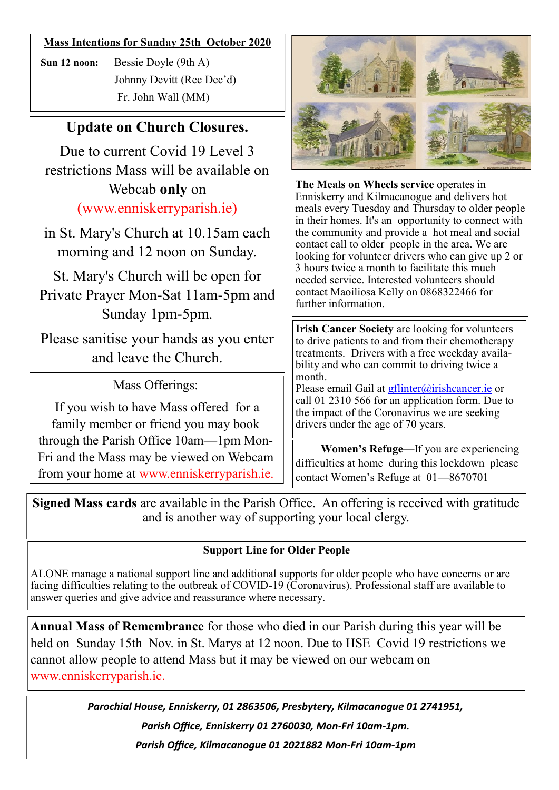#### **Mass Intentions for Sunday 25th October 2020**

**Sun 12 noon:** Bessie Doyle (9th A) Johnny Devitt (Rec Dec'd) Fr. John Wall (MM)

### **Update on Church Closures.**

Due to current Covid 19 Level 3 restrictions Mass will be available on Webcab **only** on (www.enniskerryparish.ie)

in St. Mary's Church at 10.15am each morning and 12 noon on Sunday.

St. Mary's Church will be open for Private Prayer Mon-Sat 11am-5pm and Sunday 1pm-5pm.

Please sanitise your hands as you enter and leave the Church.

Mass Offerings:

If you wish to have Mass offered for a family member or friend you may book through the Parish Office 10am—1pm Mon-Fri and the Mass may be viewed on Webcam from your home at www.enniskerryparish.ie.



**The Meals on Wheels service** operates in Enniskerry and Kilmacanogue and delivers hot meals every Tuesday and Thursday to older people in their homes. It's an opportunity to connect with the community and provide a hot meal and social contact call to older people in the area. We are looking for volunteer drivers who can give up 2 or 3 hours twice a month to facilitate this much needed service. Interested volunteers should contact Maoiliosa Kelly on 0868322466 for further information.

**Irish Cancer Society** are looking for volunteers to drive patients to and from their chemotherapy treatments. Drivers with a free weekday availability and who can commit to driving twice a month.

Please email Gail at [gflinter@irishcancer.ie](mailto:gflinter@irishcancer.ie) or call 01 2310 566 for an application form. Due to the impact of the Coronavirus we are seeking drivers under the age of 70 years.

 **Women's Refuge—**If you are experiencing difficulties at home during this lockdown please contact Women's Refuge at 01—8670701

**Signed Mass cards** are available in the Parish Office. An offering is received with gratitude and is another way of supporting your local clergy.

### **Support Line for Older People**

ALONE manage a national support line and additional supports for older people who have concerns or are facing difficulties relating to the outbreak of COVID-19 (Coronavirus). Professional staff are available to answer queries and give advice and reassurance where necessary.

**Annual Mass of Remembrance** for those who died in our Parish during this year will be held on Sunday 15th Nov. in St. Marys at 12 noon. Due to HSE Covid 19 restrictions we cannot allow people to attend Mass but it may be viewed on our webcam on www.enniskerryparish.ie.

> *Parochial House, Enniskerry, 01 2863506, Presbytery, Kilmacanogue 01 2741951, Parish Office, Enniskerry 01 2760030, Mon-Fri 10am-1pm. Parish Office, Kilmacanogue 01 2021882 Mon-Fri 10am-1pm*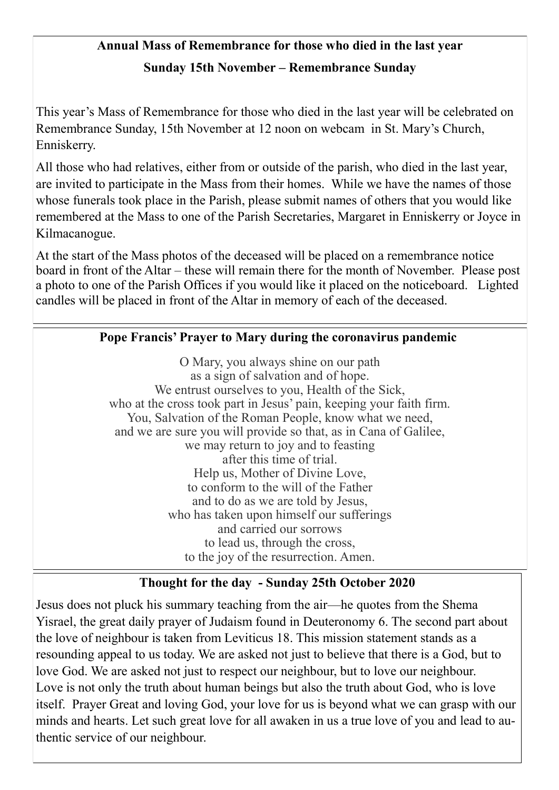## **Annual Mass of Remembrance for those who died in the last year Sunday 15th November – Remembrance Sunday**

This year's Mass of Remembrance for those who died in the last year will be celebrated on Remembrance Sunday, 15th November at 12 noon on webcam in St. Mary's Church, Enniskerry.

All those who had relatives, either from or outside of the parish, who died in the last year, are invited to participate in the Mass from their homes. While we have the names of those whose funerals took place in the Parish, please submit names of others that you would like remembered at the Mass to one of the Parish Secretaries, Margaret in Enniskerry or Joyce in Kilmacanogue.

At the start of the Mass photos of the deceased will be placed on a remembrance notice board in front of the Altar – these will remain there for the month of November. Please post a photo to one of the Parish Offices if you would like it placed on the noticeboard. Lighted candles will be placed in front of the Altar in memory of each of the deceased.

### **Pope Francis' Prayer to Mary during the coronavirus pandemic**

O Mary, you always shine on our path as a sign of salvation and of hope. We entrust ourselves to you, Health of the Sick, who at the cross took part in Jesus' pain, keeping your faith firm. You, Salvation of the Roman People, know what we need, and we are sure you will provide so that, as in Cana of Galilee, we may return to joy and to feasting after this time of trial. Help us, Mother of Divine Love, to conform to the will of the Father and to do as we are told by Jesus, who has taken upon himself our sufferings and carried our sorrows to lead us, through the cross, to the joy of the resurrection. Amen.

### **Thought for the day - Sunday 25th October 2020**

Jesus does not pluck his summary teaching from the air—he quotes from the Shema Yisrael, the great daily prayer of Judaism found in Deuteronomy 6. The second part about the love of neighbour is taken from Leviticus 18. This mission statement stands as a resounding appeal to us today. We are asked not just to believe that there is a God, but to love God. We are asked not just to respect our neighbour, but to love our neighbour. Love is not only the truth about human beings but also the truth about God, who is love itself. Prayer Great and loving God, your love for us is beyond what we can grasp with our minds and hearts. Let such great love for all awaken in us a true love of you and lead to authentic service of our neighbour.